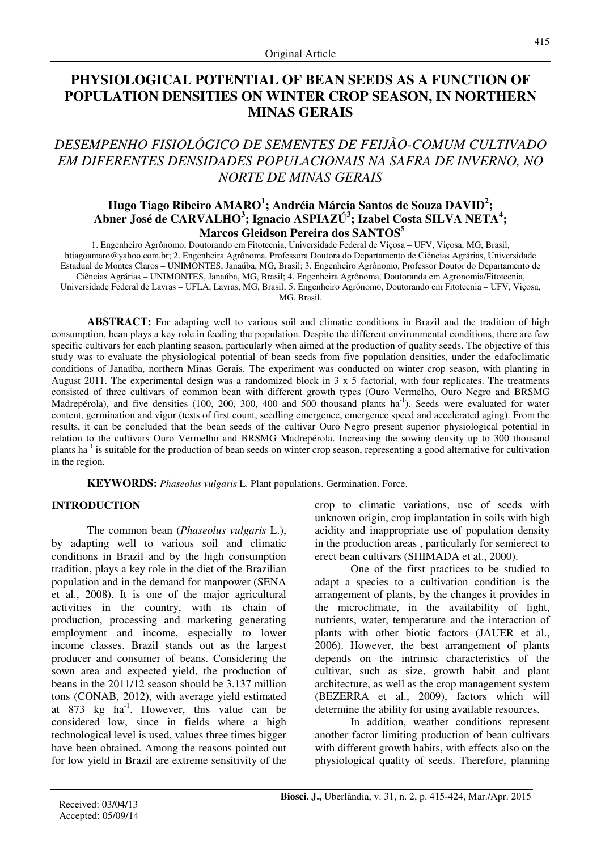# **PHYSIOLOGICAL POTENTIAL OF BEAN SEEDS AS A FUNCTION OF POPULATION DENSITIES ON WINTER CROP SEASON, IN NORTHERN MINAS GERAIS**

# *DESEMPENHO FISIOLÓGICO DE SEMENTES DE FEIJÃO-COMUM CULTIVADO EM DIFERENTES DENSIDADES POPULACIONAIS NA SAFRA DE INVERNO, NO NORTE DE MINAS GERAIS*

## **Hugo Tiago Ribeiro AMARO<sup>1</sup> ; Andréia Márcia Santos de Souza DAVID<sup>2</sup> ; Abner José de CARVALHO<sup>3</sup> ; Ignacio ASPIAZÚ<sup>3</sup> ; Izabel Costa SILVA NETA<sup>4</sup> ; Marcos Gleidson Pereira dos SANTOS<sup>5</sup>**

1. Engenheiro Agrônomo, Doutorando em Fitotecnia, Universidade Federal de Viçosa – UFV, Viçosa, MG, Brasil, htiagoamaro@yahoo.com.br; 2. Engenheira Agrônoma, Professora Doutora do Departamento de Ciências Agrárias, Universidade Estadual de Montes Claros – UNIMONTES, Janaúba, MG, Brasil; 3. Engenheiro Agrônomo, Professor Doutor do Departamento de Ciências Agrárias – UNIMONTES, Janaúba, MG, Brasil; 4. Engenheira Agrônoma, Doutoranda em Agronomia/Fitotecnia, Universidade Federal de Lavras – UFLA, Lavras, MG, Brasil; 5. Engenheiro Agrônomo, Doutorando em Fitotecnia – UFV, Viçosa, MG, Brasil.

**ABSTRACT:** For adapting well to various soil and climatic conditions in Brazil and the tradition of high consumption, bean plays a key role in feeding the population. Despite the different environmental conditions, there are few specific cultivars for each planting season, particularly when aimed at the production of quality seeds. The objective of this study was to evaluate the physiological potential of bean seeds from five population densities, under the edafoclimatic conditions of Janaúba, northern Minas Gerais. The experiment was conducted on winter crop season, with planting in August 2011. The experimental design was a randomized block in 3 x 5 factorial, with four replicates. The treatments consisted of three cultivars of common bean with different growth types (Ouro Vermelho, Ouro Negro and BRSMG Madrepérola), and five densities  $(100, 200, 300, 400, 400)$  and  $(500, 500)$  thousand plants ha<sup>-1</sup>). Seeds were evaluated for water content, germination and vigor (tests of first count, seedling emergence, emergence speed and accelerated aging). From the results, it can be concluded that the bean seeds of the cultivar Ouro Negro present superior physiological potential in relation to the cultivars Ouro Vermelho and BRSMG Madrepérola. Increasing the sowing density up to 300 thousand plants ha<sup>-1</sup> is suitable for the production of bean seeds on winter crop season, representing a good alternative for cultivation in the region.

**KEYWORDS:** *Phaseolus vulgaris* L. Plant populations. Germination. Force.

## **INTRODUCTION**

The common bean (*Phaseolus vulgaris* L.), by adapting well to various soil and climatic conditions in Brazil and by the high consumption tradition, plays a key role in the diet of the Brazilian population and in the demand for manpower (SENA et al., 2008). It is one of the major agricultural activities in the country, with its chain of production, processing and marketing generating employment and income, especially to lower income classes. Brazil stands out as the largest producer and consumer of beans. Considering the sown area and expected yield, the production of beans in the 2011/12 season should be 3.137 million tons (CONAB, 2012), with average yield estimated at 873 kg  $ha^{-1}$ . However, this value can be considered low, since in fields where a high technological level is used, values three times bigger have been obtained. Among the reasons pointed out for low yield in Brazil are extreme sensitivity of the crop to climatic variations, use of seeds with unknown origin, crop implantation in soils with high acidity and inappropriate use of population density in the production areas , particularly for semierect to erect bean cultivars (SHIMADA et al., 2000).

One of the first practices to be studied to adapt a species to a cultivation condition is the arrangement of plants, by the changes it provides in the microclimate, in the availability of light, nutrients, water, temperature and the interaction of plants with other biotic factors (JAUER et al., 2006). However, the best arrangement of plants depends on the intrinsic characteristics of the cultivar, such as size, growth habit and plant architecture, as well as the crop management system (BEZERRA et al., 2009), factors which will determine the ability for using available resources.

In addition, weather conditions represent another factor limiting production of bean cultivars with different growth habits, with effects also on the physiological quality of seeds. Therefore, planning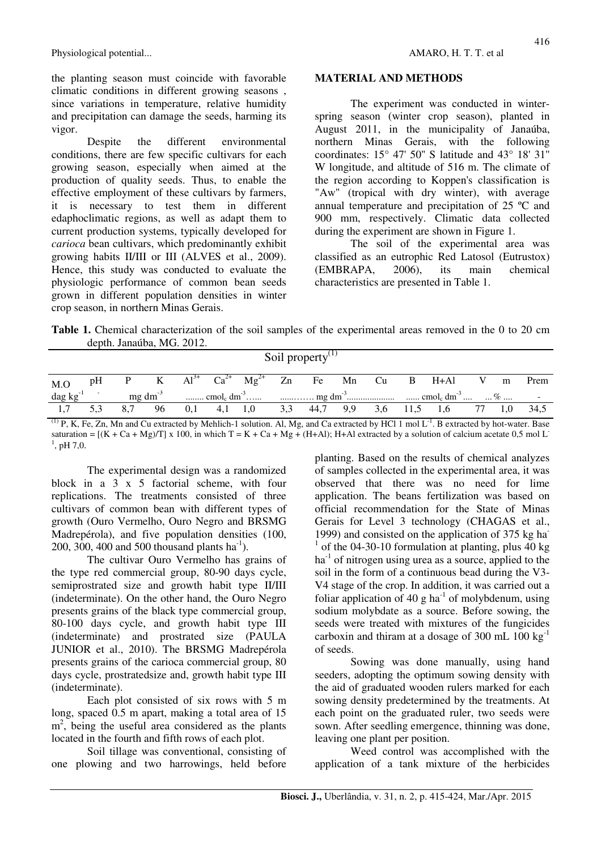the planting season must coincide with favorable climatic conditions in different growing seasons , since variations in temperature, relative humidity and precipitation can damage the seeds, harming its vigor.

Despite the different environmental conditions, there are few specific cultivars for each growing season, especially when aimed at the production of quality seeds. Thus, to enable the effective employment of these cultivars by farmers, it is necessary to test them in different edaphoclimatic regions, as well as adapt them to current production systems, typically developed for *carioca* bean cultivars, which predominantly exhibit growing habits II/III or III (ALVES et al., 2009). Hence, this study was conducted to evaluate the physiologic performance of common bean seeds grown in different population densities in winter crop season, in northern Minas Gerais.

### **MATERIAL AND METHODS**

The experiment was conducted in winterspring season (winter crop season), planted in August 2011, in the municipality of Janaúba, northern Minas Gerais, with the following coordinates: 15° 47' 50'' S latitude and 43° 18' 31'' W longitude, and altitude of 516 m. The climate of the region according to Koppen's classification is "Aw" (tropical with dry winter), with average annual temperature and precipitation of 25 ºC and 900 mm, respectively. Climatic data collected during the experiment are shown in Figure 1.

The soil of the experimental area was classified as an eutrophic Red Latosol (Eutrustox) (EMBRAPA, 2006), its main chemical characteristics are presented in Table 1.

**Table 1.** Chemical characterization of the soil samples of the experimental areas removed in the 0 to 20 cm depth. Janaúba, MG. 2012.

|        |    |     |                 |     |           |                                                  |     | Soil property $\mathbf{v}^{\mathbf{u}}$ |     |     |      |     |   |        |
|--------|----|-----|-----------------|-----|-----------|--------------------------------------------------|-----|-----------------------------------------|-----|-----|------|-----|---|--------|
| M.O    | pH |     |                 |     |           | P K $Al^{3+} Ca^{2+} Mg^{2+} Zn$ Fe Mn Cu B H+Al |     |                                         |     |     |      |     | m | Prem   |
| dag kg |    |     | $mg \, dm^{-3}$ |     |           |                                                  |     |                                         |     |     |      |     |   | $\sim$ |
|        |    | 8.7 | 96              | 0,1 | $4,1$ 1,0 |                                                  | 3,3 | 44,7                                    | 9,9 | 3,6 | 11,5 | 1.6 |   | 34,5   |

 $<sup>(1)</sup>$  P, K, Fe, Zn, Mn and Cu extracted by Mehlich-1 solution. Al, Mg, and Ca extracted by HCl 1 mol L<sup>-1</sup>. B extracted by hot-water. Base</sup> saturation =  $[(K + Ca + Mg)/T]$  x 100, in which T = K + Ca + Mg + (H+Al); H+Al extracted by a solution of calcium acetate 0,5 mol L<sup>-</sup>  $^{1}$ , pH 7,0.

The experimental design was a randomized block in a  $3 \times 5$  factorial scheme, with four replications. The treatments consisted of three cultivars of common bean with different types of growth (Ouro Vermelho, Ouro Negro and BRSMG Madrepérola), and five population densities (100, 200, 300, 400 and 500 thousand plants  $ha^{-1}$ ).

The cultivar Ouro Vermelho has grains of the type red commercial group, 80-90 days cycle, semiprostrated size and growth habit type II/III (indeterminate). On the other hand, the Ouro Negro presents grains of the black type commercial group, 80-100 days cycle, and growth habit type III (indeterminate) and prostrated size (PAULA JUNIOR et al., 2010). The BRSMG Madrepérola presents grains of the carioca commercial group, 80 days cycle, prostratedsize and, growth habit type III (indeterminate).

Each plot consisted of six rows with 5 m long, spaced 0.5 m apart, making a total area of 15  $m<sup>2</sup>$ , being the useful area considered as the plants located in the fourth and fifth rows of each plot.

Soil tillage was conventional, consisting of one plowing and two harrowings, held before planting. Based on the results of chemical analyzes of samples collected in the experimental area, it was observed that there was no need for lime application. The beans fertilization was based on official recommendation for the State of Minas Gerais for Level 3 technology (CHAGAS et al., 1999) and consisted on the application of 375 kg ha- $1$  of the 04-30-10 formulation at planting, plus 40 kg  $ha<sup>-1</sup>$  of nitrogen using urea as a source, applied to the soil in the form of a continuous bead during the V3- V4 stage of the crop. In addition, it was carried out a foliar application of 40 g ha $^{-1}$  of molybdenum, using sodium molybdate as a source. Before sowing, the seeds were treated with mixtures of the fungicides carboxin and thiram at a dosage of 300 mL  $100 \text{ kg}^{-1}$ of seeds.

Sowing was done manually, using hand seeders, adopting the optimum sowing density with the aid of graduated wooden rulers marked for each sowing density predetermined by the treatments. At each point on the graduated ruler, two seeds were sown. After seedling emergence, thinning was done, leaving one plant per position.

Weed control was accomplished with the application of a tank mixture of the herbicides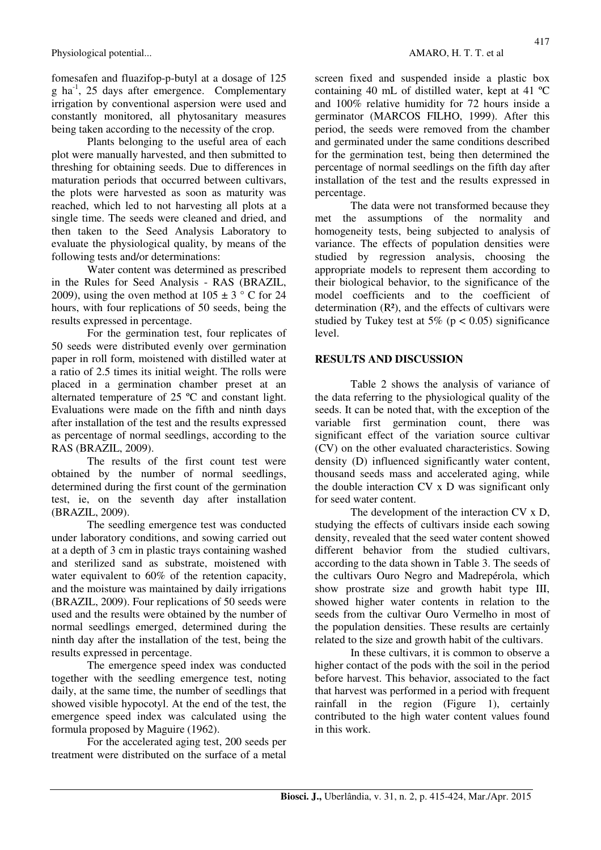fomesafen and fluazifop-p-butyl at a dosage of 125 g ha-1, 25 days after emergence. Complementary irrigation by conventional aspersion were used and constantly monitored, all phytosanitary measures being taken according to the necessity of the crop.

Plants belonging to the useful area of each plot were manually harvested, and then submitted to threshing for obtaining seeds. Due to differences in maturation periods that occurred between cultivars, the plots were harvested as soon as maturity was reached, which led to not harvesting all plots at a single time. The seeds were cleaned and dried, and then taken to the Seed Analysis Laboratory to evaluate the physiological quality, by means of the following tests and/or determinations:

Water content was determined as prescribed in the Rules for Seed Analysis - RAS (BRAZIL, 2009), using the oven method at  $105 \pm 3$  ° C for 24 hours, with four replications of 50 seeds, being the results expressed in percentage.

For the germination test, four replicates of 50 seeds were distributed evenly over germination paper in roll form, moistened with distilled water at a ratio of 2.5 times its initial weight. The rolls were placed in a germination chamber preset at an alternated temperature of 25 ºC and constant light. Evaluations were made on the fifth and ninth days after installation of the test and the results expressed as percentage of normal seedlings, according to the RAS (BRAZIL, 2009).

The results of the first count test were obtained by the number of normal seedlings, determined during the first count of the germination test, ie, on the seventh day after installation (BRAZIL, 2009).

The seedling emergence test was conducted under laboratory conditions, and sowing carried out at a depth of 3 cm in plastic trays containing washed and sterilized sand as substrate, moistened with water equivalent to 60% of the retention capacity, and the moisture was maintained by daily irrigations (BRAZIL, 2009). Four replications of 50 seeds were used and the results were obtained by the number of normal seedlings emerged, determined during the ninth day after the installation of the test, being the results expressed in percentage.

The emergence speed index was conducted together with the seedling emergence test, noting daily, at the same time, the number of seedlings that showed visible hypocotyl. At the end of the test, the emergence speed index was calculated using the formula proposed by Maguire (1962).

For the accelerated aging test, 200 seeds per treatment were distributed on the surface of a metal screen fixed and suspended inside a plastic box containing 40 mL of distilled water, kept at 41 ºC and 100% relative humidity for 72 hours inside a germinator (MARCOS FILHO, 1999). After this period, the seeds were removed from the chamber and germinated under the same conditions described for the germination test, being then determined the percentage of normal seedlings on the fifth day after installation of the test and the results expressed in percentage.

The data were not transformed because they met the assumptions of the normality and homogeneity tests, being subjected to analysis of variance. The effects of population densities were studied by regression analysis, choosing the appropriate models to represent them according to their biological behavior, to the significance of the model coefficients and to the coefficient of determination  $(R<sup>2</sup>)$ , and the effects of cultivars were studied by Tukey test at  $5\%$  (p < 0.05) significance level.

### **RESULTS AND DISCUSSION**

Table 2 shows the analysis of variance of the data referring to the physiological quality of the seeds. It can be noted that, with the exception of the variable first germination count, there was significant effect of the variation source cultivar (CV) on the other evaluated characteristics. Sowing density (D) influenced significantly water content, thousand seeds mass and accelerated aging, while the double interaction CV x D was significant only for seed water content.

The development of the interaction CV x D, studying the effects of cultivars inside each sowing density, revealed that the seed water content showed different behavior from the studied cultivars, according to the data shown in Table 3. The seeds of the cultivars Ouro Negro and Madrepérola, which show prostrate size and growth habit type III, showed higher water contents in relation to the seeds from the cultivar Ouro Vermelho in most of the population densities. These results are certainly related to the size and growth habit of the cultivars.

In these cultivars, it is common to observe a higher contact of the pods with the soil in the period before harvest. This behavior, associated to the fact that harvest was performed in a period with frequent rainfall in the region (Figure 1), certainly contributed to the high water content values found in this work.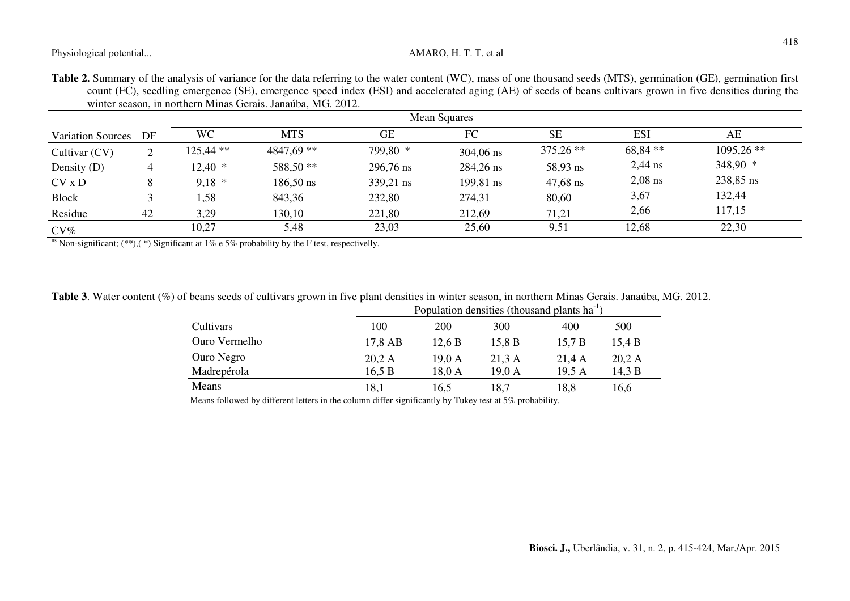| Table 2. Summary of the analysis of variance for the data referring to the water content (WC), mass of one thousand seeds (MTS), germination (GE), germination first |  |  |
|----------------------------------------------------------------------------------------------------------------------------------------------------------------------|--|--|
| count (FC), seedling emergence (SE), emergence speed index (ESI) and accelerated aging (AE) of seeds of beans cultivars grown in five densities during the           |  |  |
| winter season, in northern Minas Gerais. Janaúba, MG. 2012.                                                                                                          |  |  |

| Mean Squares             |    |             |              |           |             |             |            |              |
|--------------------------|----|-------------|--------------|-----------|-------------|-------------|------------|--------------|
| <b>Variation Sources</b> | DF | <b>WC</b>   | <b>MTS</b>   | <b>GE</b> | FC          | <b>SE</b>   | <b>ESI</b> | AE           |
| Cultivar (CV)            | 2  | $125,44$ ** | $4847,69$ ** | 799,80 *  | $304,06$ ns | $375,26$ ** | 68,84 **   | $1095,26$ ** |
| Density (D)              | 4  | $12,40$ *   | 588,50 **    | 296,76 ns | 284,26 ns   | 58,93 ns    | $2,44$ ns  | $348,90$ *   |
| $CV \times D$            | 8  | $9.18*$     | $186,50$ ns  | 339,21 ns | 199,81 ns   | $47,68$ ns  | $2,08$ ns  | 238,85 ns    |
| <b>Block</b>             |    | ,58         | 843,36       | 232,80    | 274,31      | 80,60       | 3,67       | 132,44       |
| Residue                  | 42 | 3,29        | 130,10       | 221,80    | 212,69      | 71,21       | 2,66       | 117,15       |
| $CV\%$                   |    | 10,27       | 5,48         | 23,03     | 25,60       | 9,51        | 12,68      | 22,30        |

<sup>ns</sup> Non-significant; (\*\*),(\*) Significant at 1% e 5% probability by the F test, respectivelly.

| <b>Table 3.</b> Water content (%) of beans seeds of cultivars grown in five plant densities in winter season, in northern Minas Gerais. Janaúba, MG. 2012. |  |  |  |  |
|------------------------------------------------------------------------------------------------------------------------------------------------------------|--|--|--|--|
|                                                                                                                                                            |  |  |  |  |

| 200                         | 300    |                                                                                                                                                                                                                                                                    |        |
|-----------------------------|--------|--------------------------------------------------------------------------------------------------------------------------------------------------------------------------------------------------------------------------------------------------------------------|--------|
|                             |        | 400                                                                                                                                                                                                                                                                | 500    |
| 17,8 AB<br>12.6 B           | 15,8 B | 15.7 B                                                                                                                                                                                                                                                             | 15,4 B |
| 20.2 A<br>19.0 <sub>A</sub> | 21.3 A | 21.4A                                                                                                                                                                                                                                                              | 20.2 A |
| 16.5 B                      | 19,0 A | 19.5A                                                                                                                                                                                                                                                              | 14.3 B |
| 16.5                        | 18,7   | 18,8                                                                                                                                                                                                                                                               | 16,6   |
|                             |        | $18,0 \text{ A}$<br>$M = 0.11 - 11 - 1100 = 1.1$ and $M = 1.100$ and $M = 1.100$ and $M = 1.101$ and $M = 1.101$ and $M = 1.101$ and $M = 1.101$ and $M = 1.101$ and $M = 1.101$ and $M = 1.101$ and $M = 1.101$ and $M = 1.101$ and $M = 1.101$ and $M = 1.101$ a |        |

Means followed by different letters in the column differ significantly by Tukey test at 5% probability.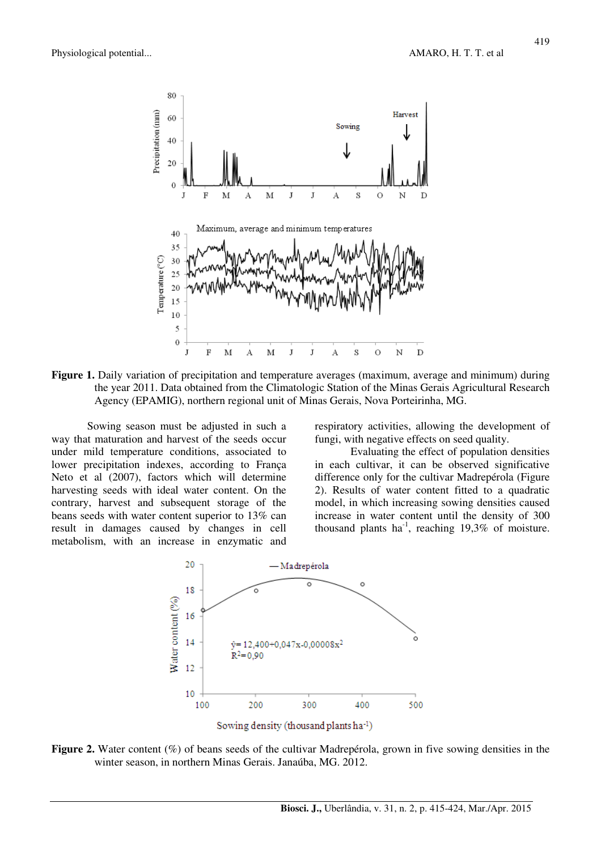

**Figure 1.** Daily variation of precipitation and temperature averages (maximum, average and minimum) during the year 2011. Data obtained from the Climatologic Station of the Minas Gerais Agricultural Research Agency (EPAMIG), northern regional unit of Minas Gerais, Nova Porteirinha, MG.

Sowing season must be adjusted in such a way that maturation and harvest of the seeds occur under mild temperature conditions, associated to lower precipitation indexes, according to França Neto et al (2007), factors which will determine harvesting seeds with ideal water content. On the contrary, harvest and subsequent storage of the beans seeds with water content superior to 13% can result in damages caused by changes in cell metabolism, with an increase in enzymatic and respiratory activities, allowing the development of fungi, with negative effects on seed quality.

Evaluating the effect of population densities in each cultivar, it can be observed significative difference only for the cultivar Madrepérola (Figure 2). Results of water content fitted to a quadratic model, in which increasing sowing densities caused increase in water content until the density of 300 thousand plants ha<sup>-1</sup>, reaching  $19,3\%$  of moisture.



**Figure 2.** Water content (%) of beans seeds of the cultivar Madrepérola, grown in five sowing densities in the winter season, in northern Minas Gerais. Janaúba, MG. 2012.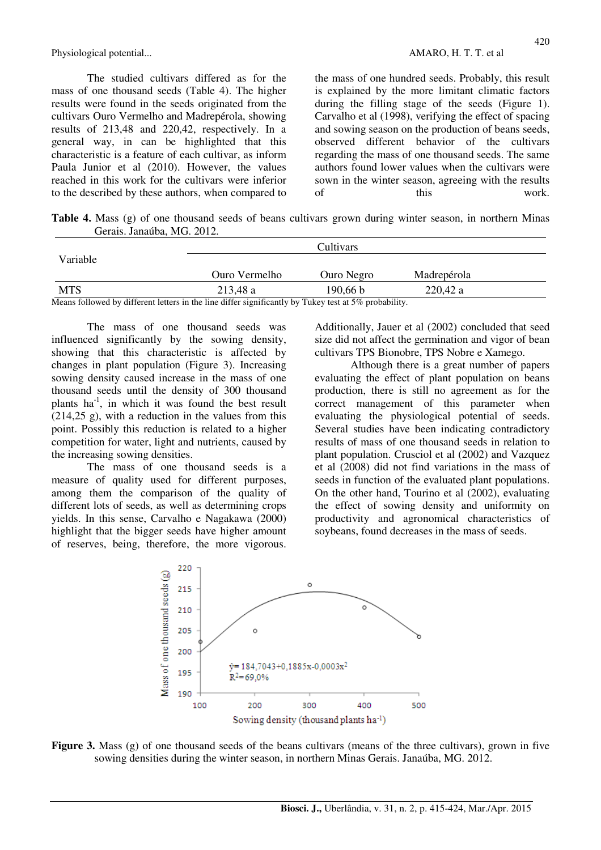The studied cultivars differed as for the mass of one thousand seeds (Table 4). The higher results were found in the seeds originated from the cultivars Ouro Vermelho and Madrepérola, showing results of 213,48 and 220,42, respectively. In a general way, in can be highlighted that this characteristic is a feature of each cultivar, as inform Paula Junior et al (2010). However, the values reached in this work for the cultivars were inferior to the described by these authors, when compared to the mass of one hundred seeds. Probably, this result is explained by the more limitant climatic factors during the filling stage of the seeds (Figure 1). Carvalho et al (1998), verifying the effect of spacing and sowing season on the production of beans seeds, observed different behavior of the cultivars regarding the mass of one thousand seeds. The same authors found lower values when the cultivars were sown in the winter season, agreeing with the results of this work.

**Table 4.** Mass (g) of one thousand seeds of beans cultivars grown during winter season, in northern Minas Gerais. Janaúba, MG. 2012.

|                                                                                                                     |               | Cultivars  |             |  |
|---------------------------------------------------------------------------------------------------------------------|---------------|------------|-------------|--|
| Variable                                                                                                            |               |            |             |  |
|                                                                                                                     | Ouro Vermelho | Ouro Negro | Madrepérola |  |
| <b>MTS</b>                                                                                                          | 213,48 a      | 190,66 b   | 220,42a     |  |
| $M_{\rm{20000}}$ followed by different latent in the line different and controlled Tables to the fifth such deliter |               |            |             |  |

Means followed by different letters in the line differ significantly by Tukey test at 5% probability.

The mass of one thousand seeds was influenced significantly by the sowing density, showing that this characteristic is affected by changes in plant population (Figure 3). Increasing sowing density caused increase in the mass of one thousand seeds until the density of 300 thousand plants  $ha^{-1}$ , in which it was found the best result  $(214,25 \text{ g})$ , with a reduction in the values from this point. Possibly this reduction is related to a higher competition for water, light and nutrients, caused by the increasing sowing densities.

The mass of one thousand seeds is a measure of quality used for different purposes, among them the comparison of the quality of different lots of seeds, as well as determining crops yields. In this sense, Carvalho e Nagakawa (2000) highlight that the bigger seeds have higher amount of reserves, being, therefore, the more vigorous.

Additionally, Jauer et al (2002) concluded that seed size did not affect the germination and vigor of bean cultivars TPS Bionobre, TPS Nobre e Xamego.

Although there is a great number of papers evaluating the effect of plant population on beans production, there is still no agreement as for the correct management of this parameter when evaluating the physiological potential of seeds. Several studies have been indicating contradictory results of mass of one thousand seeds in relation to plant population. Crusciol et al (2002) and Vazquez et al (2008) did not find variations in the mass of seeds in function of the evaluated plant populations. On the other hand, Tourino et al (2002), evaluating the effect of sowing density and uniformity on productivity and agronomical characteristics of soybeans, found decreases in the mass of seeds.



**Figure 3.** Mass (g) of one thousand seeds of the beans cultivars (means of the three cultivars), grown in five sowing densities during the winter season, in northern Minas Gerais. Janaúba, MG. 2012.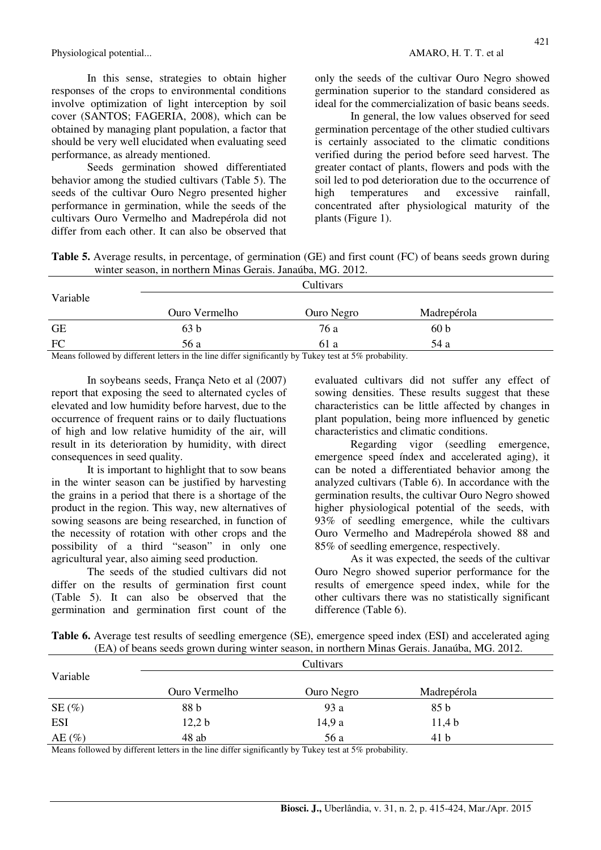In this sense, strategies to obtain higher responses of the crops to environmental conditions involve optimization of light interception by soil cover (SANTOS; FAGERIA, 2008), which can be obtained by managing plant population, a factor that should be very well elucidated when evaluating seed performance, as already mentioned.

Seeds germination showed differentiated behavior among the studied cultivars (Table 5). The seeds of the cultivar Ouro Negro presented higher performance in germination, while the seeds of the cultivars Ouro Vermelho and Madrepérola did not differ from each other. It can also be observed that

only the seeds of the cultivar Ouro Negro showed germination superior to the standard considered as ideal for the commercialization of basic beans seeds.

In general, the low values observed for seed germination percentage of the other studied cultivars is certainly associated to the climatic conditions verified during the period before seed harvest. The greater contact of plants, flowers and pods with the soil led to pod deterioration due to the occurrence of high temperatures and excessive rainfall, concentrated after physiological maturity of the plants (Figure 1).

**Table 5.** Average results, in percentage, of germination (GE) and first count (FC) of beans seeds grown during winter season, in northern Minas Gerais. Janaúba, MG. 2012.

|           | Cultivars                                                                                                                                                                                                                                                                                                                                                                                                                 |            |                 |  |  |
|-----------|---------------------------------------------------------------------------------------------------------------------------------------------------------------------------------------------------------------------------------------------------------------------------------------------------------------------------------------------------------------------------------------------------------------------------|------------|-----------------|--|--|
| Variable  |                                                                                                                                                                                                                                                                                                                                                                                                                           |            |                 |  |  |
|           | Ouro Vermelho                                                                                                                                                                                                                                                                                                                                                                                                             | Ouro Negro | Madrepérola     |  |  |
| <b>GE</b> | 63 b                                                                                                                                                                                                                                                                                                                                                                                                                      | 76 a       | 60 <sub>b</sub> |  |  |
| FC        | 56 a                                                                                                                                                                                                                                                                                                                                                                                                                      | 61 a       | 54 a            |  |  |
|           | $\mathbf{M} = \mathbf{C} \mathbf{H} = \mathbf{H} \mathbf{I} + \mathbf{P} \mathbf{C} = \mathbf{A} \mathbf{H} + \mathbf{A} \mathbf{H} + \mathbf{P} \mathbf{C} + \mathbf{A} \mathbf{C} \mathbf{A} + \mathbf{P} \mathbf{H} + \mathbf{A} \mathbf{A} \mathbf{A} \mathbf{A} + \mathbf{P} \mathbf{H} \mathbf{A} + \mathbf{P} \mathbf{A} \mathbf{A} + \mathbf{P} \mathbf{A} \mathbf{A} + \mathbf{P} \mathbf{A} \mathbf{A} + \math$ |            |                 |  |  |

Means followed by different letters in the line differ significantly by Tukey test at 5% probability.

In soybeans seeds, França Neto et al (2007) report that exposing the seed to alternated cycles of elevated and low humidity before harvest, due to the occurrence of frequent rains or to daily fluctuations of high and low relative humidity of the air, will result in its deterioration by humidity, with direct consequences in seed quality.

It is important to highlight that to sow beans in the winter season can be justified by harvesting the grains in a period that there is a shortage of the product in the region. This way, new alternatives of sowing seasons are being researched, in function of the necessity of rotation with other crops and the possibility of a third "season" in only one agricultural year, also aiming seed production.

The seeds of the studied cultivars did not differ on the results of germination first count (Table 5). It can also be observed that the germination and germination first count of the evaluated cultivars did not suffer any effect of sowing densities. These results suggest that these characteristics can be little affected by changes in plant population, being more influenced by genetic characteristics and climatic conditions.

Regarding vigor (seedling emergence, emergence speed índex and accelerated aging), it can be noted a differentiated behavior among the analyzed cultivars (Table 6). In accordance with the germination results, the cultivar Ouro Negro showed higher physiological potential of the seeds, with 93% of seedling emergence, while the cultivars Ouro Vermelho and Madrepérola showed 88 and 85% of seedling emergence, respectively.

As it was expected, the seeds of the cultivar Ouro Negro showed superior performance for the results of emergence speed index, while for the other cultivars there was no statistically significant difference (Table 6).

| <b>Table 6.</b> Average test results of seedling emergence (SE), emergence speed index (ESI) and accelerated aging |  |
|--------------------------------------------------------------------------------------------------------------------|--|
| (EA) of beans seeds grown during winter season, in northern Minas Gerais. Janaúba, MG. 2012.                       |  |

|               |               | Cultivars          |                   |  |
|---------------|---------------|--------------------|-------------------|--|
| Variable      |               |                    |                   |  |
|               | Ouro Vermelho | Ouro Negro         | Madrepérola       |  |
| $SE(\%)$      | 88 b          | 93 a               | 85 b              |  |
| <b>ESI</b>    | 12,2 b        | 14,9a              | 11.4 <sub>b</sub> |  |
| $AE(\%)$<br>. | 48 ab<br>.    | 56 a<br>$  -$<br>. | 41 b              |  |

Means followed by different letters in the line differ significantly by Tukey test at 5% probability.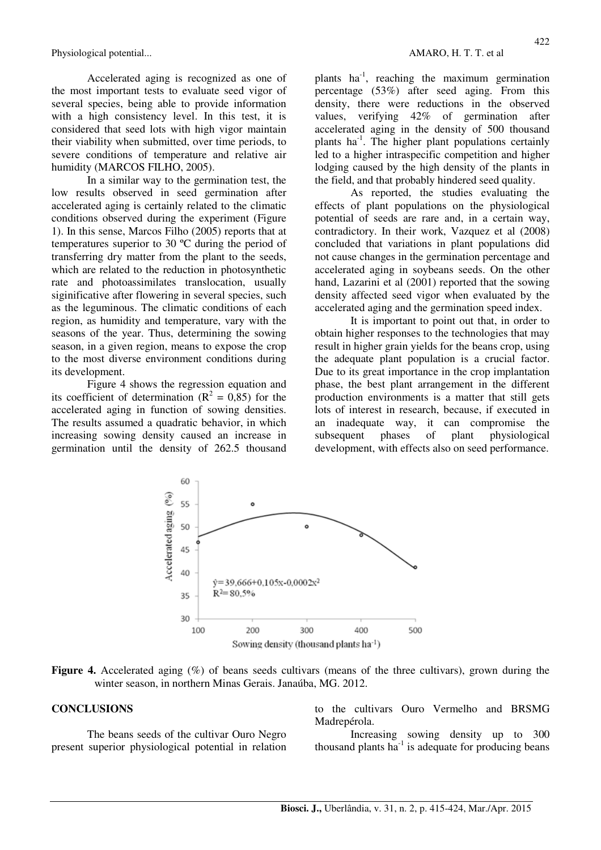Accelerated aging is recognized as one of the most important tests to evaluate seed vigor of several species, being able to provide information with a high consistency level. In this test, it is considered that seed lots with high vigor maintain their viability when submitted, over time periods, to severe conditions of temperature and relative air humidity (MARCOS FILHO, 2005).

In a similar way to the germination test, the low results observed in seed germination after accelerated aging is certainly related to the climatic conditions observed during the experiment (Figure 1). In this sense, Marcos Filho (2005) reports that at temperatures superior to 30 ºC during the period of transferring dry matter from the plant to the seeds, which are related to the reduction in photosynthetic rate and photoassimilates translocation, usually siginificative after flowering in several species, such as the leguminous. The climatic conditions of each region, as humidity and temperature, vary with the seasons of the year. Thus, determining the sowing season, in a given region, means to expose the crop to the most diverse environment conditions during its development.

Figure 4 shows the regression equation and its coefficient of determination ( $R^2 = 0.85$ ) for the accelerated aging in function of sowing densities. The results assumed a quadratic behavior, in which increasing sowing density caused an increase in germination until the density of 262.5 thousand

plants  $ha^{-1}$ , reaching the maximum germination percentage (53%) after seed aging. From this density, there were reductions in the observed values, verifying 42% of germination after accelerated aging in the density of 500 thousand plants ha-1. The higher plant populations certainly led to a higher intraspecific competition and higher lodging caused by the high density of the plants in the field, and that probably hindered seed quality.

As reported, the studies evaluating the effects of plant populations on the physiological potential of seeds are rare and, in a certain way, contradictory. In their work, Vazquez et al (2008) concluded that variations in plant populations did not cause changes in the germination percentage and accelerated aging in soybeans seeds. On the other hand, Lazarini et al (2001) reported that the sowing density affected seed vigor when evaluated by the accelerated aging and the germination speed index.

It is important to point out that, in order to obtain higher responses to the technologies that may result in higher grain yields for the beans crop, using the adequate plant population is a crucial factor. Due to its great importance in the crop implantation phase, the best plant arrangement in the different production environments is a matter that still gets lots of interest in research, because, if executed in an inadequate way, it can compromise the subsequent phases of plant physiological development, with effects also on seed performance.



**Figure 4.** Accelerated aging (%) of beans seeds cultivars (means of the three cultivars), grown during the winter season, in northern Minas Gerais. Janaúba, MG. 2012.

#### **CONCLUSIONS**

The beans seeds of the cultivar Ouro Negro present superior physiological potential in relation to the cultivars Ouro Vermelho and BRSMG Madrepérola.

Increasing sowing density up to 300 thousand plants  $ha^{-1}$  is adequate for producing beans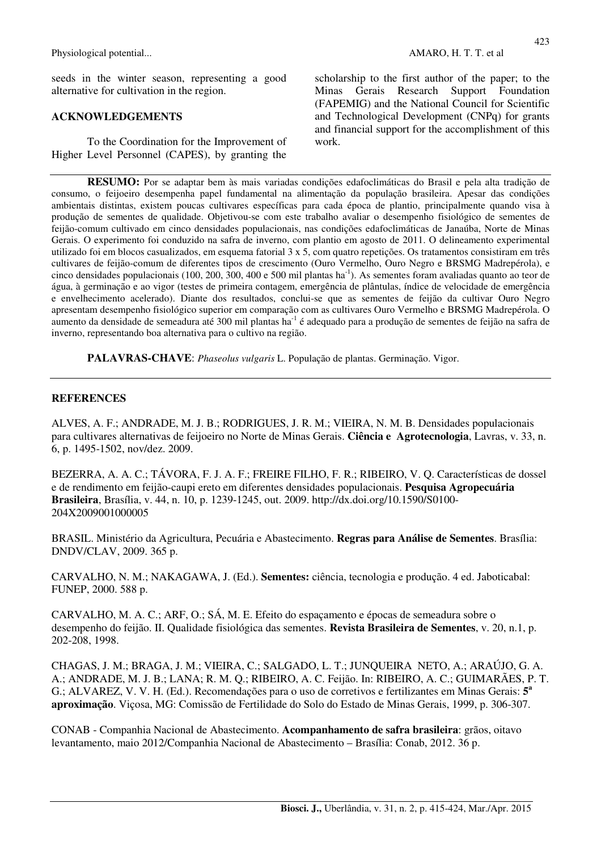Physiological potential... **AMARO, H. T. T. et al. AMARO, H. T. T. et al.** 

seeds in the winter season, representing a good alternative for cultivation in the region.

#### **ACKNOWLEDGEMENTS**

To the Coordination for the Improvement of Higher Level Personnel (CAPES), by granting the 423

scholarship to the first author of the paper; to the Minas Gerais Research Support Foundation (FAPEMIG) and the National Council for Scientific and Technological Development (CNPq) for grants and financial support for the accomplishment of this work.

**RESUMO:** Por se adaptar bem às mais variadas condições edafoclimáticas do Brasil e pela alta tradição de consumo, o feijoeiro desempenha papel fundamental na alimentação da população brasileira. Apesar das condições ambientais distintas, existem poucas cultivares específicas para cada época de plantio, principalmente quando visa à produção de sementes de qualidade. Objetivou-se com este trabalho avaliar o desempenho fisiológico de sementes de feijão-comum cultivado em cinco densidades populacionais, nas condições edafoclimáticas de Janaúba, Norte de Minas Gerais. O experimento foi conduzido na safra de inverno, com plantio em agosto de 2011. O delineamento experimental utilizado foi em blocos casualizados, em esquema fatorial 3 x 5, com quatro repetições. Os tratamentos consistiram em três cultivares de feijão-comum de diferentes tipos de crescimento (Ouro Vermelho, Ouro Negro e BRSMG Madrepérola), e cinco densidades populacionais (100, 200, 300, 400 e 500 mil plantas ha<sup>-1</sup>). As sementes foram avaliadas quanto ao teor de água, à germinação e ao vigor (testes de primeira contagem, emergência de plântulas, índice de velocidade de emergência e envelhecimento acelerado). Diante dos resultados, conclui-se que as sementes de feijão da cultivar Ouro Negro apresentam desempenho fisiológico superior em comparação com as cultivares Ouro Vermelho e BRSMG Madrepérola. O aumento da densidade de semeadura até 300 mil plantas ha-1 é adequado para a produção de sementes de feijão na safra de inverno, representando boa alternativa para o cultivo na região.

**PALAVRAS-CHAVE**: *Phaseolus vulgaris* L. População de plantas. Germinação. Vigor.

#### **REFERENCES**

ALVES, A. F.; ANDRADE, M. J. B.; RODRIGUES, J. R. M.; VIEIRA, N. M. B. Densidades populacionais para cultivares alternativas de feijoeiro no Norte de Minas Gerais. **Ciência e Agrotecnologia**, Lavras, v. 33, n. 6, p. 1495-1502, nov/dez. 2009.

BEZERRA, A. A. C.; TÁVORA, F. J. A. F.; FREIRE FILHO, F. R.; RIBEIRO, V. Q. Características de dossel e de rendimento em feijão-caupi ereto em diferentes densidades populacionais. **Pesquisa Agropecuária Brasileira**, Brasília, v. 44, n. 10, p. 1239-1245, out. 2009. http://dx.doi.org/10.1590/S0100- 204X2009001000005

BRASIL. Ministério da Agricultura, Pecuária e Abastecimento. **Regras para Análise de Sementes**. Brasília: DNDV/CLAV, 2009. 365 p.

CARVALHO, N. M.; NAKAGAWA, J. (Ed.). **Sementes:** ciência, tecnologia e produção. 4 ed. Jaboticabal: FUNEP, 2000. 588 p.

CARVALHO, M. A. C.; ARF, O.; SÁ, M. E. Efeito do espaçamento e épocas de semeadura sobre o desempenho do feijão. II. Qualidade fisiológica das sementes. **Revista Brasileira de Sementes**, v. 20, n.1, p. 202-208, 1998.

CHAGAS, J. M.; BRAGA, J. M.; VIEIRA, C.; SALGADO, L. T.; JUNQUEIRA NETO, A.; ARAÚJO, G. A. A.; ANDRADE, M. J. B.; LANA; R. M. Q.; RIBEIRO, A. C. Feijão. In: RIBEIRO, A. C.; GUIMARÃES, P. T. G.; ALVAREZ, V. V. H. (Ed.). Recomendações para o uso de corretivos e fertilizantes em Minas Gerais: **5 a aproximação**. Viçosa, MG: Comissão de Fertilidade do Solo do Estado de Minas Gerais, 1999, p. 306-307.

CONAB - Companhia Nacional de Abastecimento. **Acompanhamento de safra brasileira**: grãos, oitavo levantamento, maio 2012/Companhia Nacional de Abastecimento – Brasília: Conab, 2012. 36 p.